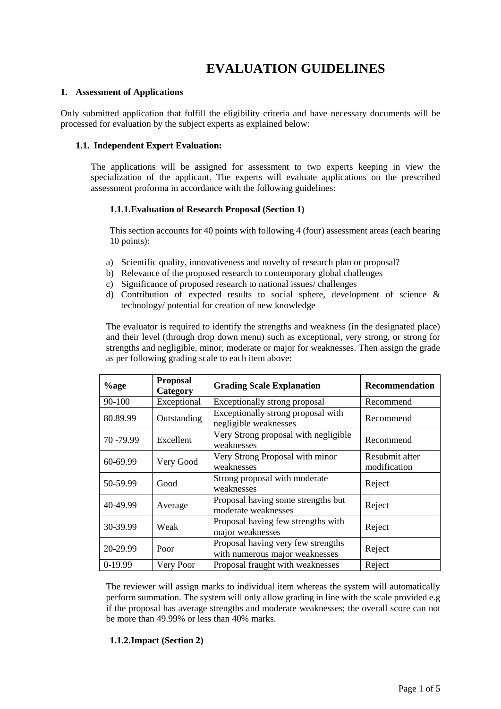# **EVALUATION GUIDELINES**

### **1. Assessment of Applications**

Only submitted application that fulfill the eligibility criteria and have necessary documents will be processed for evaluation by the subject experts as explained below:

### **1.1. Independent Expert Evaluation:**

The applications will be assigned for assessment to two experts keeping in view the specialization of the applicant. The experts will evaluate applications on the prescribed assessment proforma in accordance with the following guidelines:

## **1.1.1.Evaluation of Research Proposal (Section 1)**

This section accounts for 40 points with following 4 (four) assessment areas (each bearing 10 points):

- a) Scientific quality, innovativeness and novelty of research plan or proposal?
- b) Relevance of the proposed research to contemporary global challenges
- c) Significance of proposed research to national issues/ challenges
- d) Contribution of expected results to social sphere, development of science & technology/ potential for creation of new knowledge

The evaluator is required to identify the strengths and weakness (in the designated place) and their level (through drop down menu) such as exceptional, very strong, or strong for strengths and negligible, minor, moderate or major for weaknesses. Then assign the grade as per following grading scale to each item above:

| $\%$ age   | <b>Proposal</b><br>Category | <b>Grading Scale Explanation</b>                                     | <b>Recommendation</b>          |
|------------|-----------------------------|----------------------------------------------------------------------|--------------------------------|
| 90-100     | Exceptional                 | Exceptionally strong proposal                                        | Recommend                      |
| 80.89.99   | Outstanding                 | Exceptionally strong proposal with<br>negligible weaknesses          | Recommend                      |
| 70 - 79.99 | Excellent                   | Very Strong proposal with negligible<br>weaknesses                   | Recommend                      |
| 60-69.99   | Very Good                   | Very Strong Proposal with minor<br>weaknesses                        | Resubmit after<br>modification |
| 50-59.99   | Good                        | Strong proposal with moderate<br>weaknesses                          | Reject                         |
| 40-49.99   | Average                     | Proposal having some strengths but<br>moderate weaknesses            | Reject                         |
| 30-39.99   | Weak                        | Proposal having few strengths with<br>major weaknesses               | Reject                         |
| 20-29.99   | Poor                        | Proposal having very few strengths<br>with numerous major weaknesses | Reject                         |
| 0-19.99    | Very Poor                   | Proposal fraught with weaknesses                                     | Reject                         |

The reviewer will assign marks to individual item whereas the system will automatically perform summation. The system will only allow grading in line with the scale provided e.g if the proposal has average strengths and moderate weaknesses; the overall score can not be more than 49.99% or less than 40% marks.

## **1.1.2.Impact (Section 2)**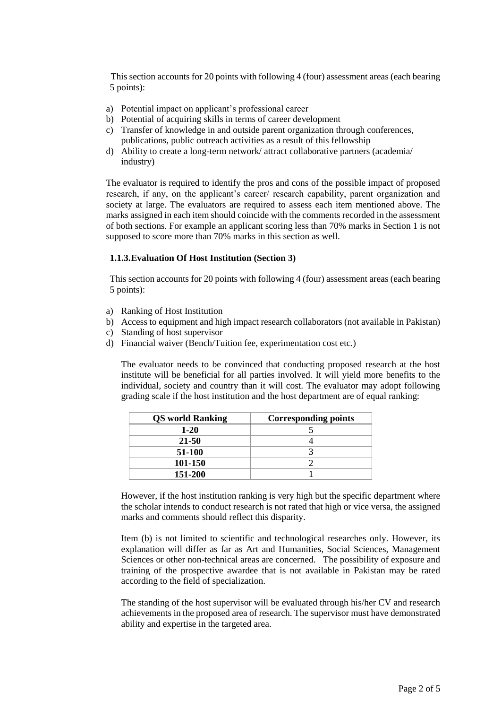This section accounts for 20 points with following 4 (four) assessment areas (each bearing 5 points):

- a) Potential impact on applicant's professional career
- b) Potential of acquiring skills in terms of career development
- c) Transfer of knowledge in and outside parent organization through conferences, publications, public outreach activities as a result of this fellowship
- d) Ability to create a long-term network/ attract collaborative partners (academia/ industry)

The evaluator is required to identify the pros and cons of the possible impact of proposed research, if any, on the applicant's career/ research capability, parent organization and society at large. The evaluators are required to assess each item mentioned above. The marks assigned in each item should coincide with the comments recorded in the assessment of both sections. For example an applicant scoring less than 70% marks in Section 1 is not supposed to score more than 70% marks in this section as well.

## **1.1.3.Evaluation Of Host Institution (Section 3)**

This section accounts for 20 points with following 4 (four) assessment areas (each bearing 5 points):

- a) Ranking of Host Institution
- b) Access to equipment and high impact research collaborators (not available in Pakistan)
- c) Standing of host supervisor
- d) Financial waiver (Bench/Tuition fee, experimentation cost etc.)

The evaluator needs to be convinced that conducting proposed research at the host institute will be beneficial for all parties involved. It will yield more benefits to the individual, society and country than it will cost. The evaluator may adopt following grading scale if the host institution and the host department are of equal ranking:

| <b>QS</b> world Ranking | <b>Corresponding points</b> |
|-------------------------|-----------------------------|
| $1 - 20$                |                             |
| 21-50                   |                             |
| 51-100                  |                             |
| 101-150                 |                             |
| 151-200                 |                             |

However, if the host institution ranking is very high but the specific department where the scholar intends to conduct research is not rated that high or vice versa, the assigned marks and comments should reflect this disparity.

Item (b) is not limited to scientific and technological researches only. However, its explanation will differ as far as Art and Humanities, Social Sciences, Management Sciences or other non-technical areas are concerned. The possibility of exposure and training of the prospective awardee that is not available in Pakistan may be rated according to the field of specialization.

The standing of the host supervisor will be evaluated through his/her CV and research achievements in the proposed area of research. The supervisor must have demonstrated ability and expertise in the targeted area.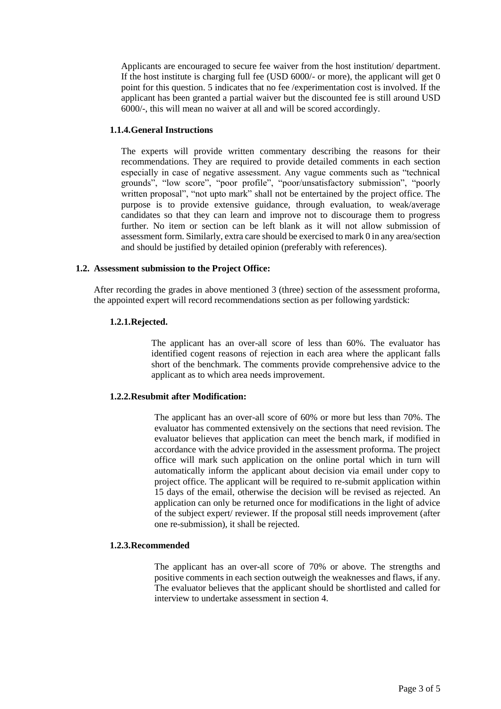Applicants are encouraged to secure fee waiver from the host institution/ department. If the host institute is charging full fee (USD 6000/- or more), the applicant will get 0 point for this question. 5 indicates that no fee /experimentation cost is involved. If the applicant has been granted a partial waiver but the discounted fee is still around USD 6000/-, this will mean no waiver at all and will be scored accordingly.

## **1.1.4.General Instructions**

The experts will provide written commentary describing the reasons for their recommendations. They are required to provide detailed comments in each section especially in case of negative assessment. Any vague comments such as "technical grounds", "low score", "poor profile", "poor/unsatisfactory submission", "poorly written proposal", "not upto mark" shall not be entertained by the project office. The purpose is to provide extensive guidance, through evaluation, to weak/average candidates so that they can learn and improve not to discourage them to progress further. No item or section can be left blank as it will not allow submission of assessment form. Similarly, extra care should be exercised to mark 0 in any area/section and should be justified by detailed opinion (preferably with references).

# **1.2. Assessment submission to the Project Office:**

After recording the grades in above mentioned 3 (three) section of the assessment proforma, the appointed expert will record recommendations section as per following yardstick:

# **1.2.1.Rejected.**

The applicant has an over-all score of less than 60%. The evaluator has identified cogent reasons of rejection in each area where the applicant falls short of the benchmark. The comments provide comprehensive advice to the applicant as to which area needs improvement.

## **1.2.2.Resubmit after Modification:**

The applicant has an over-all score of 60% or more but less than 70%. The evaluator has commented extensively on the sections that need revision. The evaluator believes that application can meet the bench mark, if modified in accordance with the advice provided in the assessment proforma. The project office will mark such application on the online portal which in turn will automatically inform the applicant about decision via email under copy to project office. The applicant will be required to re-submit application within 15 days of the email, otherwise the decision will be revised as rejected. An application can only be returned once for modifications in the light of advice of the subject expert/ reviewer. If the proposal still needs improvement (after one re-submission), it shall be rejected.

## **1.2.3.Recommended**

The applicant has an over-all score of 70% or above. The strengths and positive comments in each section outweigh the weaknesses and flaws, if any. The evaluator believes that the applicant should be shortlisted and called for interview to undertake assessment in section 4.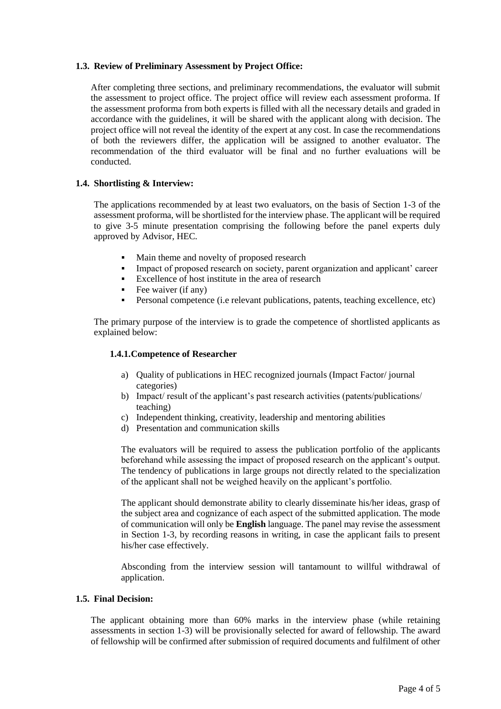## **1.3. Review of Preliminary Assessment by Project Office:**

After completing three sections, and preliminary recommendations, the evaluator will submit the assessment to project office. The project office will review each assessment proforma. If the assessment proforma from both experts is filled with all the necessary details and graded in accordance with the guidelines, it will be shared with the applicant along with decision. The project office will not reveal the identity of the expert at any cost. In case the recommendations of both the reviewers differ, the application will be assigned to another evaluator. The recommendation of the third evaluator will be final and no further evaluations will be conducted.

## **1.4. Shortlisting & Interview:**

The applications recommended by at least two evaluators, on the basis of Section 1-3 of the assessment proforma, will be shortlisted for the interview phase. The applicant will be required to give 3-5 minute presentation comprising the following before the panel experts duly approved by Advisor, HEC.

- Main theme and novelty of proposed research
- Impact of proposed research on society, parent organization and applicant' career
- Excellence of host institute in the area of research
- Fee waiver (if any)
- Personal competence (i.e relevant publications, patents, teaching excellence, etc)

The primary purpose of the interview is to grade the competence of shortlisted applicants as explained below:

#### **1.4.1.Competence of Researcher**

- a) Quality of publications in HEC recognized journals (Impact Factor/ journal categories)
- b) Impact/ result of the applicant's past research activities (patents/publications/ teaching)
- c) Independent thinking, creativity, leadership and mentoring abilities
- d) Presentation and communication skills

The evaluators will be required to assess the publication portfolio of the applicants beforehand while assessing the impact of proposed research on the applicant's output. The tendency of publications in large groups not directly related to the specialization of the applicant shall not be weighed heavily on the applicant's portfolio.

The applicant should demonstrate ability to clearly disseminate his/her ideas, grasp of the subject area and cognizance of each aspect of the submitted application. The mode of communication will only be **English** language. The panel may revise the assessment in Section 1-3, by recording reasons in writing, in case the applicant fails to present his/her case effectively.

Absconding from the interview session will tantamount to willful withdrawal of application.

## **1.5. Final Decision:**

The applicant obtaining more than 60% marks in the interview phase (while retaining assessments in section 1-3) will be provisionally selected for award of fellowship. The award of fellowship will be confirmed after submission of required documents and fulfilment of other